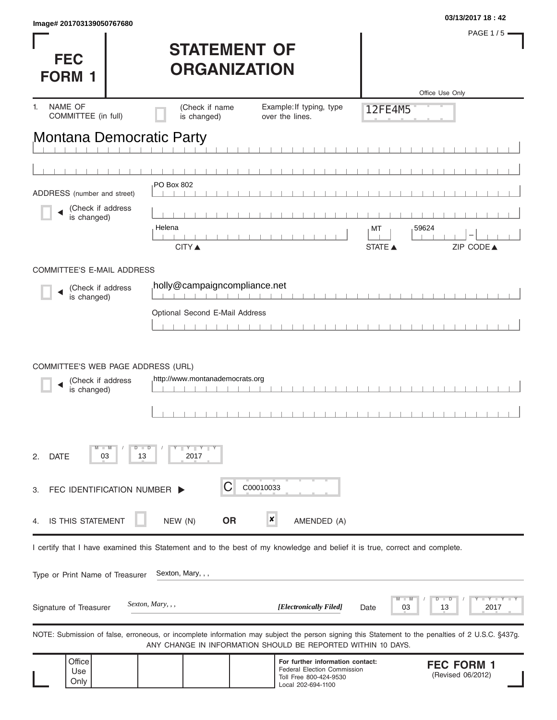| Image# 201703139050767680                                              |                                                                                                                                                   |                                                                                                                        |                                | 03/13/2017 18:42                       |
|------------------------------------------------------------------------|---------------------------------------------------------------------------------------------------------------------------------------------------|------------------------------------------------------------------------------------------------------------------------|--------------------------------|----------------------------------------|
| <b>FEC</b><br><b>FORM</b>                                              | <b>STATEMENT OF</b><br><b>ORGANIZATION</b>                                                                                                        |                                                                                                                        |                                | <b>PAGE 1/5</b>                        |
| NAME OF<br>$\mathbf{1}$ .                                              | (Check if name                                                                                                                                    | Example: If typing, type                                                                                               |                                | Office Use Only                        |
| COMMITTEE (in full)                                                    | is changed)                                                                                                                                       | over the lines.                                                                                                        | 12FE4M5                        |                                        |
| Montana Democratic Party                                               |                                                                                                                                                   |                                                                                                                        |                                |                                        |
|                                                                        |                                                                                                                                                   |                                                                                                                        |                                |                                        |
|                                                                        |                                                                                                                                                   |                                                                                                                        |                                |                                        |
| ADDRESS (number and street)                                            | PO Box 802                                                                                                                                        |                                                                                                                        |                                |                                        |
| (Check if address<br>is changed)                                       |                                                                                                                                                   |                                                                                                                        |                                |                                        |
|                                                                        | Helena                                                                                                                                            |                                                                                                                        | 59624<br>МT                    |                                        |
|                                                                        | <b>CITY</b> ▲                                                                                                                                     |                                                                                                                        | <b>STATE ▲</b>                 | ZIP CODE▲                              |
| <b>COMMITTEE'S E-MAIL ADDRESS</b>                                      |                                                                                                                                                   |                                                                                                                        |                                |                                        |
| (Check if address                                                      | holly@campaigncompliance.net                                                                                                                      |                                                                                                                        |                                |                                        |
| is changed)                                                            |                                                                                                                                                   |                                                                                                                        |                                |                                        |
|                                                                        | Optional Second E-Mail Address                                                                                                                    |                                                                                                                        |                                |                                        |
|                                                                        |                                                                                                                                                   |                                                                                                                        |                                |                                        |
| COMMITTEE'S WEB PAGE ADDRESS (URL)<br>(Check if address<br>is changed) | http://www.montanademocrats.org                                                                                                                   |                                                                                                                        |                                |                                        |
| 03<br><b>DATE</b><br>2.                                                | $Y - Y - Y$<br>2017<br>13                                                                                                                         |                                                                                                                        |                                |                                        |
| FEC IDENTIFICATION NUMBER<br>3.                                        | С                                                                                                                                                 | C00010033                                                                                                              |                                |                                        |
| IS THIS STATEMENT<br>4.                                                | NEW (N)<br><b>OR</b>                                                                                                                              | $\boldsymbol{x}$<br>AMENDED (A)                                                                                        |                                |                                        |
|                                                                        | I certify that I have examined this Statement and to the best of my knowledge and belief it is true, correct and complete.                        |                                                                                                                        |                                |                                        |
| Type or Print Name of Treasurer                                        | Sexton, Mary, , ,                                                                                                                                 |                                                                                                                        |                                |                                        |
| Signature of Treasurer                                                 | Sexton, Mary, , ,                                                                                                                                 | [Electronically Filed]                                                                                                 | $\blacksquare$ M<br>03<br>Date | $+Y +Y$<br>D<br>D<br>2017<br>13        |
|                                                                        | NOTE: Submission of false, erroneous, or incomplete information may subject the person signing this Statement to the penalties of 2 U.S.C. §437g. | ANY CHANGE IN INFORMATION SHOULD BE REPORTED WITHIN 10 DAYS.                                                           |                                |                                        |
| Office<br>Use<br>Only                                                  |                                                                                                                                                   | For further information contact:<br><b>Federal Election Commission</b><br>Toll Free 800-424-9530<br>Local 202-694-1100 |                                | <b>FEC FORM 1</b><br>(Revised 06/2012) |

Local 202-694-1100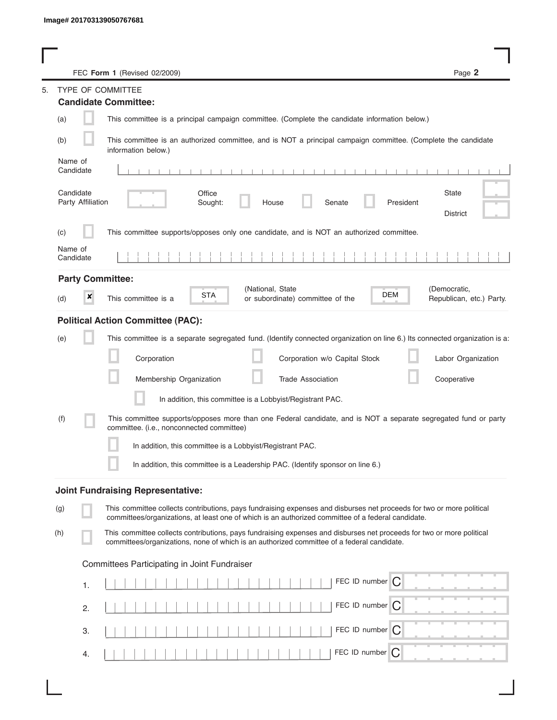|         |                                | FEC Form 1 (Revised 02/2009)                                                                                                                                                                                                | Page 2                                   |
|---------|--------------------------------|-----------------------------------------------------------------------------------------------------------------------------------------------------------------------------------------------------------------------------|------------------------------------------|
|         |                                | <b>TYPE OF COMMITTEE</b>                                                                                                                                                                                                    |                                          |
|         |                                | <b>Candidate Committee:</b>                                                                                                                                                                                                 |                                          |
| (a)     |                                | This committee is a principal campaign committee. (Complete the candidate information below.)                                                                                                                               |                                          |
| (b)     |                                | This committee is an authorized committee, and is NOT a principal campaign committee. (Complete the candidate<br>information below.)                                                                                        |                                          |
| Name of | Candidate                      |                                                                                                                                                                                                                             |                                          |
|         | Candidate<br>Party Affiliation | Office<br>Sought:<br>House<br>Senate<br>President                                                                                                                                                                           | <b>State</b><br><b>District</b>          |
| (C)     |                                | This committee supports/opposes only one candidate, and is NOT an authorized committee.                                                                                                                                     |                                          |
| Name of | Candidate                      |                                                                                                                                                                                                                             |                                          |
|         |                                | <b>Party Committee:</b>                                                                                                                                                                                                     |                                          |
| (d)     | ×                              | (National, State<br>DEM<br>STA<br>This committee is a<br>or subordinate) committee of the                                                                                                                                   | (Democratic,<br>Republican, etc.) Party. |
|         |                                | <b>Political Action Committee (PAC):</b>                                                                                                                                                                                    |                                          |
| (e)     |                                | This committee is a separate segregated fund. (Identify connected organization on line 6.) Its connected organization is a:                                                                                                 |                                          |
|         |                                | Corporation<br>Corporation w/o Capital Stock                                                                                                                                                                                | Labor Organization                       |
|         |                                | Membership Organization<br><b>Trade Association</b>                                                                                                                                                                         | Cooperative                              |
|         |                                | In addition, this committee is a Lobbyist/Registrant PAC.                                                                                                                                                                   |                                          |
| (f)     |                                | This committee supports/opposes more than one Federal candidate, and is NOT a separate segregated fund or party<br>committee. (i.e., nonconnected committee)                                                                |                                          |
|         |                                | In addition, this committee is a Lobbyist/Registrant PAC.                                                                                                                                                                   |                                          |
|         |                                | In addition, this committee is a Leadership PAC. (Identify sponsor on line 6.)                                                                                                                                              |                                          |
|         |                                | <b>Joint Fundraising Representative:</b>                                                                                                                                                                                    |                                          |
| (g)     |                                | This committee collects contributions, pays fundraising expenses and disburses net proceeds for two or more political<br>committees/organizations, at least one of which is an authorized committee of a federal candidate. |                                          |
| (h)     |                                | This committee collects contributions, pays fundraising expenses and disburses net proceeds for two or more political<br>committees/organizations, none of which is an authorized committee of a federal candidate.         |                                          |
|         |                                | Committees Participating in Joint Fundraiser                                                                                                                                                                                |                                          |
|         | 1.                             | FEC ID number $\bigcap$                                                                                                                                                                                                     |                                          |
|         | 2.                             | FEC ID number $\bigcap$                                                                                                                                                                                                     |                                          |
|         | 3.                             | FEC ID number C                                                                                                                                                                                                             |                                          |
|         | 4.                             | FEC ID number<br>C                                                                                                                                                                                                          |                                          |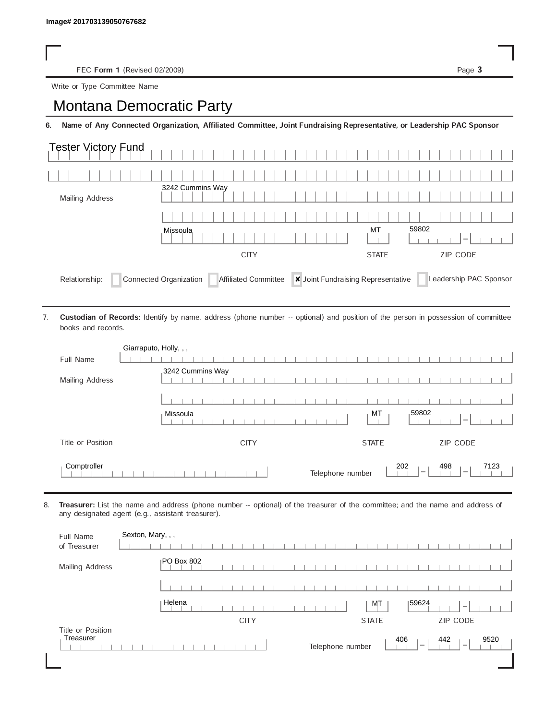FEC Form 1 (Revised 02/2009) Page 3

Write or Type Committee Name

## Image# 201703139050767682<br>
FEC Form 1 (Revised 02/2009)<br>
Write or Type Committee Name<br> **Montana Democratic Party**

6. Name of Any Connected Organization, Affiliated Committee, Joint Fundraising Representative, or Leadership PAC Sponsor

| Tester Victory Fund |                  |                                 |
|---------------------|------------------|---------------------------------|
|                     |                  |                                 |
| Mailing Address     | 3242 Cummins Way |                                 |
|                     |                  |                                 |
|                     | Missoula         | 59802<br>МT                     |
|                     | <b>CITY</b>      | <b>ZIP CODE</b><br><b>STATE</b> |
|                     |                  |                                 |

Custodian of Records: Identify by name, address (phone number -- optional) and position of the person in possession of committee books and records. 7.

| Giarraputo, Holly, , , |                                                                                                       |
|------------------------|-------------------------------------------------------------------------------------------------------|
| Full Name              |                                                                                                       |
| Mailing Address        | 3242 Cummins Way                                                                                      |
|                        |                                                                                                       |
|                        | 59802<br>МT<br>Missoula                                                                               |
| Title or Position      | ZIP CODE<br><b>CITY</b><br><b>STATE</b>                                                               |
| Comptroller            | 202<br>498<br>7123<br>Telephone number<br>$\hspace{0.1mm}-\hspace{0.1mm}$<br>$\overline{\phantom{a}}$ |

8. Treasurer: List the name and address (phone number -- optional) of the treasurer of the committee; and the name and address of any designated agent (e.g., assistant treasurer).

| Full Name<br>of Treasurer | Sexton, Mary, , , |             |              |       |                          |
|---------------------------|-------------------|-------------|--------------|-------|--------------------------|
| Mailing Address           | <b>PO Box 802</b> |             |              |       |                          |
|                           |                   |             |              |       |                          |
|                           | Helena            |             | MT           | 59624 | $\overline{\phantom{a}}$ |
|                           |                   |             |              |       |                          |
|                           |                   | <b>CITY</b> | <b>STATE</b> |       | ZIP CODE                 |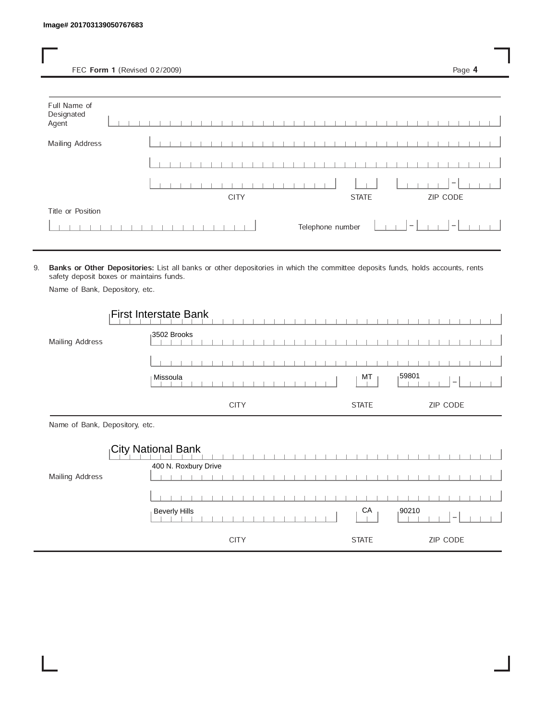FEC Form 1 (Revised 02/2009) Page 4

| Full Name of<br>Designated<br>Agent |  |  |  |  |  |             |  |  |  |  |                  |  |              |  |                                 |  |                                 |  |  |
|-------------------------------------|--|--|--|--|--|-------------|--|--|--|--|------------------|--|--------------|--|---------------------------------|--|---------------------------------|--|--|
| Mailing Address                     |  |  |  |  |  |             |  |  |  |  |                  |  |              |  |                                 |  |                                 |  |  |
|                                     |  |  |  |  |  |             |  |  |  |  |                  |  |              |  |                                 |  |                                 |  |  |
|                                     |  |  |  |  |  |             |  |  |  |  |                  |  |              |  |                                 |  | $\hspace{0.1mm}-\hspace{0.1mm}$ |  |  |
|                                     |  |  |  |  |  | <b>CITY</b> |  |  |  |  |                  |  | <b>STATE</b> |  |                                 |  | ZIP CODE                        |  |  |
| Title or Position                   |  |  |  |  |  |             |  |  |  |  |                  |  |              |  |                                 |  |                                 |  |  |
|                                     |  |  |  |  |  |             |  |  |  |  | Telephone number |  |              |  | $\hspace{0.1mm}-\hspace{0.1mm}$ |  | $\hspace{0.1mm}-\hspace{0.1mm}$ |  |  |

9. Banks or Other Depositories: List all banks or other depositories in which the committee deposits funds, holds accounts, rents safety deposit boxes or maintains funds.

Name of Bank, Depository, etc.

|                                | <b>First Interstate Bank</b>               |                                 |
|--------------------------------|--------------------------------------------|---------------------------------|
| Mailing Address                | 3502 Brooks                                |                                 |
|                                |                                            |                                 |
|                                | Missoula                                   | ,59801<br>МT                    |
|                                | <b>CITY</b>                                | <b>ZIP CODE</b><br><b>STATE</b> |
| Name of Bank, Depository, etc. |                                            |                                 |
|                                | City National Bank<br>400 N. Roxbury Drive |                                 |

|                        |  | $-$ TVV IV. INVADUITY DIIVU |  |  |             |  |  |   |  |  |  |              |                 |  |                                                                                                  |  |  |          |  |  |  |
|------------------------|--|-----------------------------|--|--|-------------|--|--|---|--|--|--|--------------|-----------------|--|--------------------------------------------------------------------------------------------------|--|--|----------|--|--|--|
| <b>Mailing Address</b> |  |                             |  |  |             |  |  |   |  |  |  |              |                 |  |                                                                                                  |  |  |          |  |  |  |
|                        |  |                             |  |  |             |  |  |   |  |  |  |              |                 |  |                                                                                                  |  |  |          |  |  |  |
|                        |  |                             |  |  |             |  |  | . |  |  |  |              |                 |  |                                                                                                  |  |  |          |  |  |  |
|                        |  | Beverly Hills               |  |  |             |  |  |   |  |  |  |              | CA <sub>1</sub> |  | $\begin{bmatrix} 90210 \\   &   &   &   \end{bmatrix} - \begin{bmatrix}   &   &   \end{bmatrix}$ |  |  |          |  |  |  |
|                        |  |                             |  |  | <b>CITY</b> |  |  |   |  |  |  | <b>STATE</b> |                 |  |                                                                                                  |  |  | ZIP CODE |  |  |  |